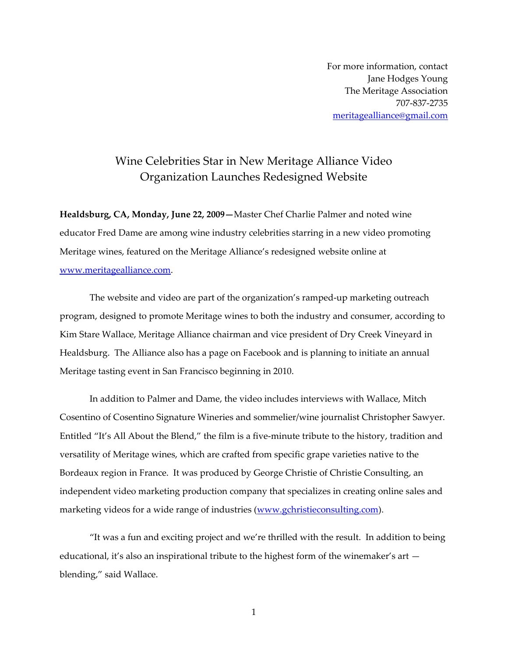For more information, contact Jane Hodges Young The Meritage Association 707-837-2735 meritagealliance@gmail.com

## Wine Celebrities Star in New Meritage Alliance Video Organization Launches Redesigned Website

**Healdsburg, CA, Monday, June 22, 2009—**Master Chef Charlie Palmer and noted wine educator Fred Dame are among wine industry celebrities starring in a new video promoting Meritage wines, featured on the Meritage Alliance's redesigned website online at www.meritagealliance.com.

 The website and video are part of the organization's ramped-up marketing outreach program, designed to promote Meritage wines to both the industry and consumer, according to Kim Stare Wallace, Meritage Alliance chairman and vice president of Dry Creek Vineyard in Healdsburg. The Alliance also has a page on Facebook and is planning to initiate an annual Meritage tasting event in San Francisco beginning in 2010.

 In addition to Palmer and Dame, the video includes interviews with Wallace, Mitch Cosentino of Cosentino Signature Wineries and sommelier/wine journalist Christopher Sawyer. Entitled "It's All About the Blend," the film is a five-minute tribute to the history, tradition and versatility of Meritage wines, which are crafted from specific grape varieties native to the Bordeaux region in France. It was produced by George Christie of Christie Consulting, an independent video marketing production company that specializes in creating online sales and marketing videos for a wide range of industries (www.gchristieconsulting.com).

 "It was a fun and exciting project and we're thrilled with the result. In addition to being educational, it's also an inspirational tribute to the highest form of the winemaker's art blending," said Wallace.

1